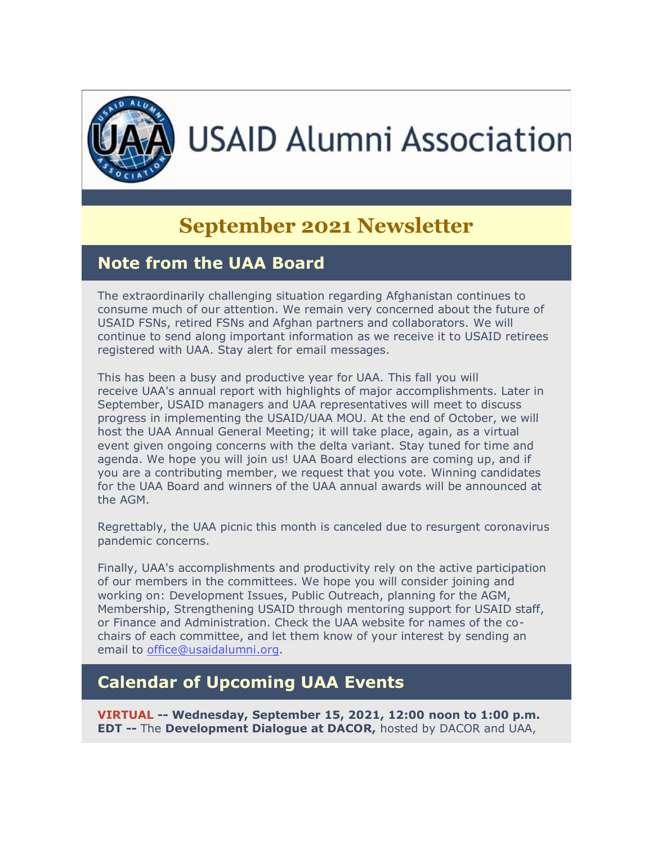

# **USAID Alumni Association**

# **September 2021 Newsletter**

# **Note from the UAA Board**

The extraordinarily challenging situation regarding Afghanistan continues to consume much of our attention. We remain very concerned about the future of USAID FSNs, retired FSNs and Afghan partners and collaborators. We will continue to send along important information as we receive it to USAID retirees registered with UAA. Stay alert for email messages.

This has been a busy and productive year for UAA. This fall you will receive UAA's annual report with highlights of major accomplishments. Later in September, USAID managers and UAA representatives will meet to discuss progress in implementing the USAID/UAA MOU. At the end of October, we will host the UAA Annual General Meeting; it will take place, again, as a virtual event given ongoing concerns with the delta variant. Stay tuned for time and agenda. We hope you will join us! UAA Board elections are coming up, and if you are a contributing member, we request that you vote. Winning candidates for the UAA Board and winners of the UAA annual awards will be announced at the AGM.

Regrettably, the UAA picnic this month is canceled due to resurgent coronavirus pandemic concerns.

Finally, UAA's accomplishments and productivity rely on the active participation of our members in the committees. We hope you will consider joining and working on: Development Issues, Public Outreach, planning for the AGM, Membership, Strengthening USAID through mentoring support for USAID staff, or Finance and Administration. Check the UAA website for names of the cochairs of each committee, and let them know of your interest by sending an email to [office@usaidalumni.org.](mailto:office@usaidalumni.org)

# **Calendar of Upcoming UAA Events**

**VIRTUAL -- Wednesday, September 15, 2021, 12:00 noon to 1:00 p.m. EDT --** The **Development Dialogue at DACOR,** hosted by DACOR and UAA,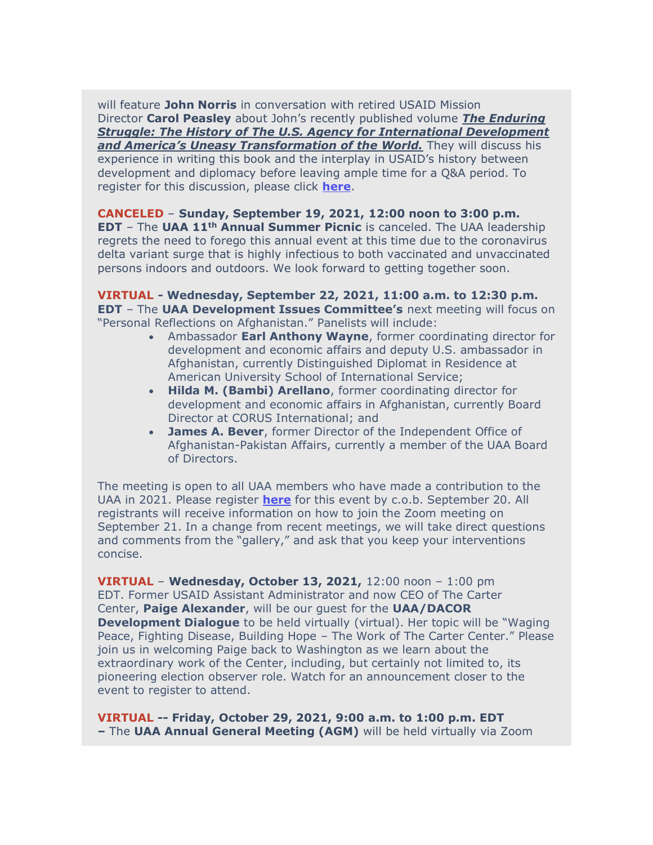will feature **John Norris** in conversation with retired USAID Mission Director **Carol Peasley** about John's recently published volume *[The Enduring](https://r20.rs6.net/tn.jsp?f=001IoMUHTWMGIcRFbAZl2uyDN0ggn8xJAXDzdW3JK_8Yj9noGJ2eQeIDTu7EECxlGnYTX4GkSTuGaKVjVa4tmL5tEFlPMFdxNOdegMQkG8j93rqxBAXPdoMA2pVlvp535FI9esOX41v_1NigqCZ9QZ0SMo0MxIhp2U_vE9SbxWW36bxFvUhxxVjGskq0xTpAWIqUipYg7ZhdAUHnQfvyYa0qVSsjGeuCf2_Kk2r5Chm9qMY1LmxhL-VNQ==&c=kPcjYGrb0b1jWljo6So1dYLGyjRnNUex3carUvTFia91tw_zHYuOUA==&ch=14Xlp1FOYu4UGzu69dcJ_joDyHdxfVmA2_MYia5nxgUdbspDWMWedg==)  [Struggle: The History of The U.S. Agency for International Development](https://r20.rs6.net/tn.jsp?f=001IoMUHTWMGIcRFbAZl2uyDN0ggn8xJAXDzdW3JK_8Yj9noGJ2eQeIDTu7EECxlGnYTX4GkSTuGaKVjVa4tmL5tEFlPMFdxNOdegMQkG8j93rqxBAXPdoMA2pVlvp535FI9esOX41v_1NigqCZ9QZ0SMo0MxIhp2U_vE9SbxWW36bxFvUhxxVjGskq0xTpAWIqUipYg7ZhdAUHnQfvyYa0qVSsjGeuCf2_Kk2r5Chm9qMY1LmxhL-VNQ==&c=kPcjYGrb0b1jWljo6So1dYLGyjRnNUex3carUvTFia91tw_zHYuOUA==&ch=14Xlp1FOYu4UGzu69dcJ_joDyHdxfVmA2_MYia5nxgUdbspDWMWedg==)  [and America's Uneasy Transformation of the World.](https://r20.rs6.net/tn.jsp?f=001IoMUHTWMGIcRFbAZl2uyDN0ggn8xJAXDzdW3JK_8Yj9noGJ2eQeIDTu7EECxlGnYTX4GkSTuGaKVjVa4tmL5tEFlPMFdxNOdegMQkG8j93rqxBAXPdoMA2pVlvp535FI9esOX41v_1NigqCZ9QZ0SMo0MxIhp2U_vE9SbxWW36bxFvUhxxVjGskq0xTpAWIqUipYg7ZhdAUHnQfvyYa0qVSsjGeuCf2_Kk2r5Chm9qMY1LmxhL-VNQ==&c=kPcjYGrb0b1jWljo6So1dYLGyjRnNUex3carUvTFia91tw_zHYuOUA==&ch=14Xlp1FOYu4UGzu69dcJ_joDyHdxfVmA2_MYia5nxgUdbspDWMWedg==)* They will discuss his experience in writing this book and the interplay in USAID's history between development and diplomacy before leaving ample time for a Q&A period. To register for this discussion, please click **[here](https://r20.rs6.net/tn.jsp?f=001TDgVOEhYzLn8E8IvBkagNZCyEqwORMKe1ymjvDLQ2iUyUXxBrK3d3KgKtwo5DMkql719gTm10xK09FAXEpOsHbir6Qd1KAzNkiteZo4GBsE0-rzCpHcbxw8s3l4WcuVqj1SaAohqs4jbiIS3ZeS8nZ0W-VsWdIEzCSVGWPZtB67XoHrVqUNuJUXt5v35cSElm-1Nb9DVlEI=&c=FZhN5va37Ki3-pjlHBSeHyjmV2l-BsnqG30PuXVRXRjvt_0ZQSU1wA==&ch=MLF00JSY8alEJ9HAtLCAFoF6MgcA8BpU1a4d-DSbyyomVYgOPsCnEw==)**.

#### **CANCELED** – **Sunday, September 19, 2021, 12:00 noon to 3:00 p.m. EDT** – The **UAA 11th Annual Summer Picnic** is canceled. The UAA leadership regrets the need to forego this annual event at this time due to the coronavirus delta variant surge that is highly infectious to both vaccinated and unvaccinated persons indoors and outdoors. We look forward to getting together soon.

#### **VIRTUAL - Wednesday, September 22, 2021, 11:00 a.m. to 12:30 p.m. EDT** – The **UAA Development Issues Committee's** next meeting will focus on "Personal Reflections on Afghanistan." Panelists will include:

- Ambassador **Earl Anthony Wayne**, former coordinating director for development and economic affairs and deputy U.S. ambassador in Afghanistan, currently Distinguished Diplomat in Residence at American University School of International Service;
- **Hilda M. (Bambi) Arellano**, former coordinating director for development and economic affairs in Afghanistan, currently Board Director at CORUS International; and
- **James A. Bever**, former Director of the Independent Office of Afghanistan-Pakistan Affairs, currently a member of the UAA Board of Directors.

The meeting is open to all UAA members who have made a contribution to the UAA in 2021. Please register **[here](https://r20.rs6.net/tn.jsp?f=001TDgVOEhYzLn8E8IvBkagNZCyEqwORMKe1ymjvDLQ2iUyUXxBrK3d3I1iqrlFZYKouBJugKietMC0LeUB2Q20cmytoVJfyjhF0D_9CLfjeAyg0TDvKxQmnKn8z09NtftNBYMLxpcF-yVKt4-vxCw6Ag==&c=FZhN5va37Ki3-pjlHBSeHyjmV2l-BsnqG30PuXVRXRjvt_0ZQSU1wA==&ch=MLF00JSY8alEJ9HAtLCAFoF6MgcA8BpU1a4d-DSbyyomVYgOPsCnEw==)** for this event by c.o.b. September 20. All registrants will receive information on how to join the Zoom meeting on September 21. In a change from recent meetings, we will take direct questions and comments from the "gallery," and ask that you keep your interventions concise.

**VIRTUAL** – **Wednesday, October 13, 2021,** 12:00 noon – 1:00 pm EDT. Former USAID Assistant Administrator and now CEO of The Carter Center, **Paige Alexander**, will be our guest for the **UAA/DACOR Development Dialogue** to be held virtually (virtual). Her topic will be "Waging Peace, Fighting Disease, Building Hope – The Work of The Carter Center." Please join us in welcoming Paige back to Washington as we learn about the extraordinary work of the Center, including, but certainly not limited to, its pioneering election observer role. Watch for an announcement closer to the event to register to attend.

**VIRTUAL -- Friday, October 29, 2021, 9:00 a.m. to 1:00 p.m. EDT –** The **UAA Annual General Meeting (AGM)** will be held virtually via Zoom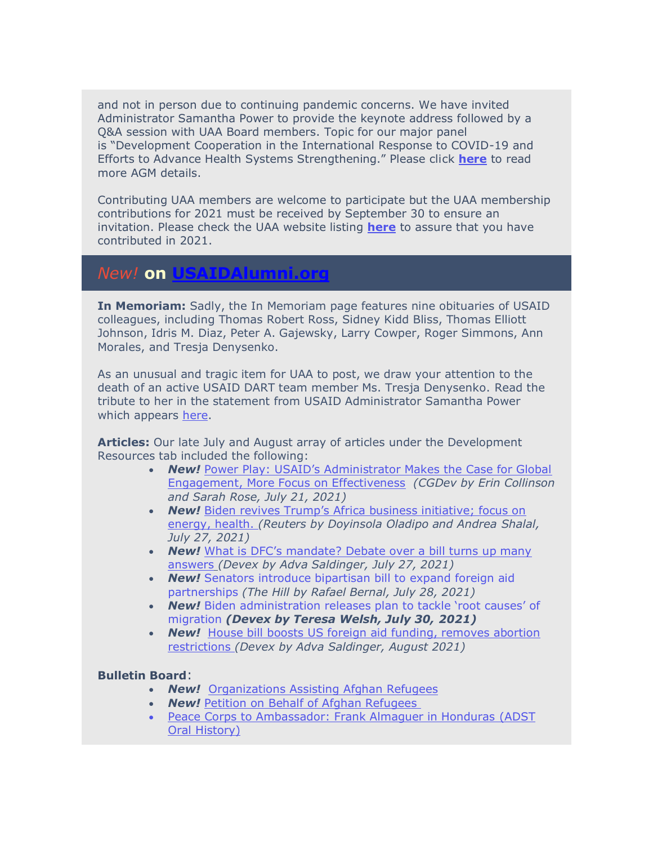and not in person due to continuing pandemic concerns. We have invited Administrator Samantha Power to provide the keynote address followed by a Q&A session with UAA Board members. Topic for our major panel is "Development Cooperation in the International Response to COVID-19 and Efforts to Advance Health Systems Strengthening." Please click **[here](https://r20.rs6.net/tn.jsp?f=001TDgVOEhYzLn8E8IvBkagNZCyEqwORMKe1ymjvDLQ2iUyUXxBrK3d3LfybkIkTOIaIIqXz3qhSix2ZBPCiRv93EtA3gBiBEgy6fK4Hj7tv0SQ7MTJBk0xAcehg5xK-SE8d5xfVWvxyHRfFxcDnAhY6g==&c=FZhN5va37Ki3-pjlHBSeHyjmV2l-BsnqG30PuXVRXRjvt_0ZQSU1wA==&ch=MLF00JSY8alEJ9HAtLCAFoF6MgcA8BpU1a4d-DSbyyomVYgOPsCnEw==)** to read more AGM details.

Contributing UAA members are welcome to participate but the UAA membership contributions for 2021 must be received by September 30 to ensure an invitation. Please check the UAA website listing **[here](https://r20.rs6.net/tn.jsp?f=001TDgVOEhYzLn8E8IvBkagNZCyEqwORMKe1ymjvDLQ2iUyUXxBrK3d3J99EBe8WsH1Q_mLE4N3drLunw7v8aC_uxW_B4GkJKzC-armDPhyXgiI5slCKfRvwEbV0fhec7PsKYX_HG3uAFvs6JrYeT7bKLzHO39SgGchHTo5lT0UzMacqhf7cHwbhTPcYSDsZfceiWHkobvvnVQ=&c=FZhN5va37Ki3-pjlHBSeHyjmV2l-BsnqG30PuXVRXRjvt_0ZQSU1wA==&ch=MLF00JSY8alEJ9HAtLCAFoF6MgcA8BpU1a4d-DSbyyomVYgOPsCnEw==)** to assure that you have contributed in 2021.

## *New!* **on [USAIDAlumni.org](http://usaidalumni.org/)**

**In Memoriam:** Sadly, the In Memoriam page features nine obituaries of USAID colleagues, including Thomas Robert Ross, Sidney Kidd Bliss, Thomas Elliott Johnson, Idris M. Diaz, Peter A. Gajewsky, Larry Cowper, Roger Simmons, Ann Morales, and Tresja Denysenko.

As an unusual and tragic item for UAA to post, we draw your attention to the death of an active USAID DART team member Ms. Tresja Denysenko. Read the tribute to her in the statement from USAID Administrator Samantha Power which appears [here.](https://r20.rs6.net/tn.jsp?f=001TDgVOEhYzLn8E8IvBkagNZCyEqwORMKe1ymjvDLQ2iUyUXxBrK3d3FzZElseJtQuh7QdH5wn2Yhm7RxxbaXHxiVzRgNsLuDdnbOy6dqzwZx0rTkOgPpRvY94IMq7wVeUoMxVdGj1ppBRKPjQwdH82TUb5ZE_r3VZ&c=FZhN5va37Ki3-pjlHBSeHyjmV2l-BsnqG30PuXVRXRjvt_0ZQSU1wA==&ch=MLF00JSY8alEJ9HAtLCAFoF6MgcA8BpU1a4d-DSbyyomVYgOPsCnEw==)

**Articles:** Our late July and August array of articles under the Development Resources tab included the following:

- *New!* [Power Play: USAID's Administrator Makes the Case for Global](https://r20.rs6.net/tn.jsp?f=001TDgVOEhYzLn8E8IvBkagNZCyEqwORMKe1ymjvDLQ2iUyUXxBrK3d3I1iqrlFZYKoYGLBqfpr2cBsbqD50S3FB3YTTGhkipN0JrweM9tuhmS1Id4D-4CG6J7fmKwmBd12nX0BlNDKpOAvmdvL-YcbvUY5yWU8tPwYV0ufPXbq3bmrVhx-P7fDJ_S_LWb_xe6c5mtZvUiQNybRgd7voUCwBqcsSXUIj_FQvLDL23OayTPMMcN8rM8X5jY-dF4L6q8WwhhfCVBs2a5fr2uUuMNv0fgmplioytnqKTXGIHYD5W5jD7BUO913z8QwImLFdPqfVpxEpKmaJCWd4XjAI54tM9H6bBlud212o9whkPvwzMM=&c=FZhN5va37Ki3-pjlHBSeHyjmV2l-BsnqG30PuXVRXRjvt_0ZQSU1wA==&ch=MLF00JSY8alEJ9HAtLCAFoF6MgcA8BpU1a4d-DSbyyomVYgOPsCnEw==)  [Engagement, More Focus on Effectiveness](https://r20.rs6.net/tn.jsp?f=001TDgVOEhYzLn8E8IvBkagNZCyEqwORMKe1ymjvDLQ2iUyUXxBrK3d3I1iqrlFZYKoYGLBqfpr2cBsbqD50S3FB3YTTGhkipN0JrweM9tuhmS1Id4D-4CG6J7fmKwmBd12nX0BlNDKpOAvmdvL-YcbvUY5yWU8tPwYV0ufPXbq3bmrVhx-P7fDJ_S_LWb_xe6c5mtZvUiQNybRgd7voUCwBqcsSXUIj_FQvLDL23OayTPMMcN8rM8X5jY-dF4L6q8WwhhfCVBs2a5fr2uUuMNv0fgmplioytnqKTXGIHYD5W5jD7BUO913z8QwImLFdPqfVpxEpKmaJCWd4XjAI54tM9H6bBlud212o9whkPvwzMM=&c=FZhN5va37Ki3-pjlHBSeHyjmV2l-BsnqG30PuXVRXRjvt_0ZQSU1wA==&ch=MLF00JSY8alEJ9HAtLCAFoF6MgcA8BpU1a4d-DSbyyomVYgOPsCnEw==) *(CGDev by Erin Collinson and Sarah Rose, July 21, 2021)*
- **New!** Biden revives Trump's Africa business initiative; focus on [energy, health.](https://r20.rs6.net/tn.jsp?f=001TDgVOEhYzLn8E8IvBkagNZCyEqwORMKe1ymjvDLQ2iUyUXxBrK3d3I1iqrlFZYKo2LRO-mNxnxR-CPDa5Ir1vt8wPQtawFcSWZ5hEyiqZ1XdXomGoPUS5iQj-tuIFZWM2Kz6filE_Nq4Zw37DBajjs9OnwlfIFNL44eSLlzT3c7oRYrJ-gicRH5jgqzlpxOqDbCVOE0t0KndhY6jcjc4NdDYdhyA-T-U43eNpnSNp9oOcZbMnYAVlkEJp6PP1MG7X1A589KVV-z9r3yK7Q5tDQ==&c=FZhN5va37Ki3-pjlHBSeHyjmV2l-BsnqG30PuXVRXRjvt_0ZQSU1wA==&ch=MLF00JSY8alEJ9HAtLCAFoF6MgcA8BpU1a4d-DSbyyomVYgOPsCnEw==) *(Reuters by Doyinsola Oladipo and Andrea Shalal, July 27, 2021)*
- **New!** [What is DFC's mandate? Debate over a bill turns up many](https://r20.rs6.net/tn.jsp?f=001TDgVOEhYzLn8E8IvBkagNZCyEqwORMKe1ymjvDLQ2iUyUXxBrK3d3I1iqrlFZYKoFfVaW8piNFDhhXh0YfkM3yZKNDEX19wzOBmOsNMuySpSGQKSgqIUEWm_c-YnG5tvmzVq4uULOOvvIROuP0IuWw3J-h3n5z7S_Rxbf5LNXUMcNMLuvA0dFwUO2aSDuDu2UXTmS5X_pvCj_ADO7L9XW_jtnlVhg1qmS2VyCtr4bRPN07V9uJfhhg==&c=FZhN5va37Ki3-pjlHBSeHyjmV2l-BsnqG30PuXVRXRjvt_0ZQSU1wA==&ch=MLF00JSY8alEJ9HAtLCAFoF6MgcA8BpU1a4d-DSbyyomVYgOPsCnEw==) [answers](https://r20.rs6.net/tn.jsp?f=001TDgVOEhYzLn8E8IvBkagNZCyEqwORMKe1ymjvDLQ2iUyUXxBrK3d3I1iqrlFZYKoFfVaW8piNFDhhXh0YfkM3yZKNDEX19wzOBmOsNMuySpSGQKSgqIUEWm_c-YnG5tvmzVq4uULOOvvIROuP0IuWw3J-h3n5z7S_Rxbf5LNXUMcNMLuvA0dFwUO2aSDuDu2UXTmS5X_pvCj_ADO7L9XW_jtnlVhg1qmS2VyCtr4bRPN07V9uJfhhg==&c=FZhN5va37Ki3-pjlHBSeHyjmV2l-BsnqG30PuXVRXRjvt_0ZQSU1wA==&ch=MLF00JSY8alEJ9HAtLCAFoF6MgcA8BpU1a4d-DSbyyomVYgOPsCnEw==) *(Devex by Adva Saldinger, July 27, 2021)*
- *New!* Senators introduce bipartisan bill to expand foreign aid partnerships *(The Hill by Rafael Bernal, July 28, 2021)*
- *New!* Biden administration releases plan to tackle 'root causes' of migration *(Devex by Teresa Welsh, July 30, 2021)*
- **New!** House bill boosts US foreign aid funding, removes abortion [restrictions](https://r20.rs6.net/tn.jsp?f=001TDgVOEhYzLn8E8IvBkagNZCyEqwORMKe1ymjvDLQ2iUyUXxBrK3d3I1iqrlFZYKopyzprbDdWbcY9YG-a-hJTgakNonyiifLfq_BPD8C7dqBegn4J_Rx6xV8DgqW4zOp6ifGdoQaz13HHHDF_Nlk9ANLJDM9ktzuW8jPa3s07RvxCC9iiObXOZiihmHzfKb2UnCxGZEMeWWm1qNDBcLfw_ku8yzaPPyRuEAyF3GryGm6dDJ4QaUtUTJB-1ygJhTU&c=FZhN5va37Ki3-pjlHBSeHyjmV2l-BsnqG30PuXVRXRjvt_0ZQSU1wA==&ch=MLF00JSY8alEJ9HAtLCAFoF6MgcA8BpU1a4d-DSbyyomVYgOPsCnEw==) *(Devex by Adva Saldinger, August 2021)*

#### **Bulletin Board**:

- *New!* [Organizations Assisting Afghan Refugees](https://r20.rs6.net/tn.jsp?f=001TDgVOEhYzLn8E8IvBkagNZCyEqwORMKe1ymjvDLQ2iUyUXxBrK3d3I1iqrlFZYKoHqCkRM8gZ4EsGHcnfJzc_4jDpM94Mv8XWpOKYbeaS7iFcHKUTnmhEaaiueVJ4Bi3kjcQJZa5LMIlv8cxdSqKZG9J8DjtqamlPW08LwaPXUaa88z2nfH1QsMa60YoKP4TaiG9lRESfDdAPtdS5Ck7PFth6Ay8mcZq1y-sup4VAsM=&c=FZhN5va37Ki3-pjlHBSeHyjmV2l-BsnqG30PuXVRXRjvt_0ZQSU1wA==&ch=MLF00JSY8alEJ9HAtLCAFoF6MgcA8BpU1a4d-DSbyyomVYgOPsCnEw==)
- *New!* [Petition on Behalf of Afghan Refugees](https://r20.rs6.net/tn.jsp?f=001TDgVOEhYzLn8E8IvBkagNZCyEqwORMKe1ymjvDLQ2iUyUXxBrK3d3I1iqrlFZYKogvBDcbPG3R72rbKkySmSVUQjN-MD_DW8V17L_2UUp1mPRvWtMf8MXC59NqCcKhR5apLRvCN9UCk0ov0bRUfoCWPIRMF-HezQNTrxHoJb-T2fg-GFX_NxQKfwVq5_6ByS3VQd_wKpi75EEsHqzzSZcJg-Grf8h2xbdvhATOod4Cc=&c=FZhN5va37Ki3-pjlHBSeHyjmV2l-BsnqG30PuXVRXRjvt_0ZQSU1wA==&ch=MLF00JSY8alEJ9HAtLCAFoF6MgcA8BpU1a4d-DSbyyomVYgOPsCnEw==)
- [Peace Corps to Ambassador: Frank Almaguer in Honduras \(ADST](https://r20.rs6.net/tn.jsp?f=001TDgVOEhYzLn8E8IvBkagNZCyEqwORMKe1ymjvDLQ2iUyUXxBrK3d3I1iqrlFZYKo4EG4j20_DceIF0UeKZdAG5uv0Cssqon781u3JWiFHbqKKi_dQSTAcBrwCvp31W-ChA_St8bkhhRMeqNggrk2Qcuwewrhv1upTVHMw1xl6b6MbkC0Zn-jfHuKdxR7F_uM-7brUbrfAGrfVkEvoUcMnb7sinEZySHvDgfKm0OFd7u-EPEN1sEjDaOB-Weo8VEfwzOU411pMmbDc9k4ZJOp3Q==&c=FZhN5va37Ki3-pjlHBSeHyjmV2l-BsnqG30PuXVRXRjvt_0ZQSU1wA==&ch=MLF00JSY8alEJ9HAtLCAFoF6MgcA8BpU1a4d-DSbyyomVYgOPsCnEw==)  [Oral History\)](https://r20.rs6.net/tn.jsp?f=001TDgVOEhYzLn8E8IvBkagNZCyEqwORMKe1ymjvDLQ2iUyUXxBrK3d3I1iqrlFZYKo4EG4j20_DceIF0UeKZdAG5uv0Cssqon781u3JWiFHbqKKi_dQSTAcBrwCvp31W-ChA_St8bkhhRMeqNggrk2Qcuwewrhv1upTVHMw1xl6b6MbkC0Zn-jfHuKdxR7F_uM-7brUbrfAGrfVkEvoUcMnb7sinEZySHvDgfKm0OFd7u-EPEN1sEjDaOB-Weo8VEfwzOU411pMmbDc9k4ZJOp3Q==&c=FZhN5va37Ki3-pjlHBSeHyjmV2l-BsnqG30PuXVRXRjvt_0ZQSU1wA==&ch=MLF00JSY8alEJ9HAtLCAFoF6MgcA8BpU1a4d-DSbyyomVYgOPsCnEw==)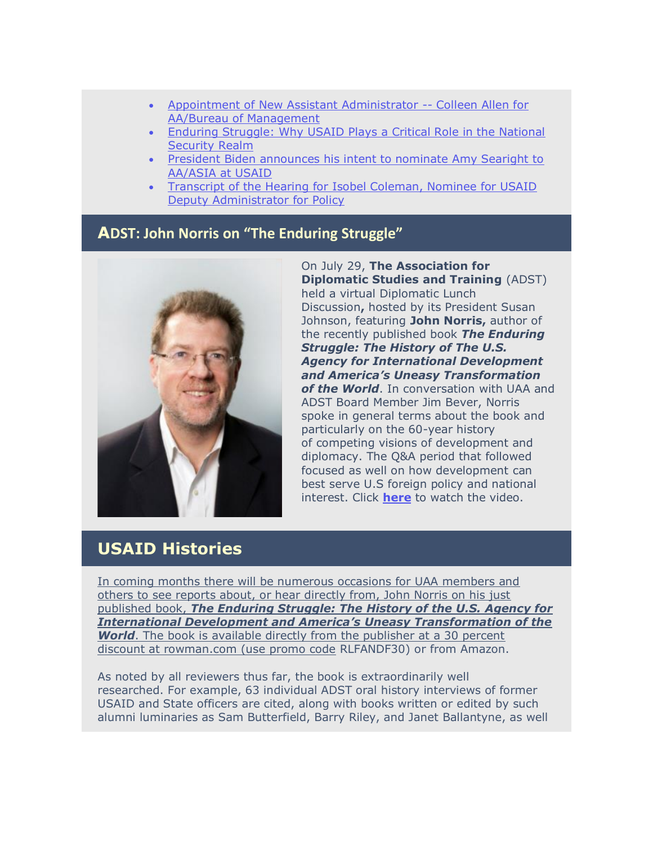- [Appointment of New Assistant Administrator --](https://r20.rs6.net/tn.jsp?f=001TDgVOEhYzLn8E8IvBkagNZCyEqwORMKe1ymjvDLQ2iUyUXxBrK3d3I1iqrlFZYKo5pthTzN6NR1heJ9jJcLkVXAZc9vHRjKM_ytI3_VdmwlrIKPE8ImAceI28tbJ9F1-PKd26tblrN-jpOnJXSqeFRsVGZ75m0cxCSrk6X4YG2UFcnZ2lKKaVAyzlQwX8dCxLtQ5ZcoipUKoQ5TSaxmbxYXvNOcrkQ7zS4RGYKz-uLoX9aDbS8qSm6iW3GVQBgAnVVZazV_XlxeWUCnKZJYFE7HevOOY8ZikL_dMye21UHk=&c=FZhN5va37Ki3-pjlHBSeHyjmV2l-BsnqG30PuXVRXRjvt_0ZQSU1wA==&ch=MLF00JSY8alEJ9HAtLCAFoF6MgcA8BpU1a4d-DSbyyomVYgOPsCnEw==) Colleen Allen for [AA/Bureau of Management](https://r20.rs6.net/tn.jsp?f=001TDgVOEhYzLn8E8IvBkagNZCyEqwORMKe1ymjvDLQ2iUyUXxBrK3d3I1iqrlFZYKo5pthTzN6NR1heJ9jJcLkVXAZc9vHRjKM_ytI3_VdmwlrIKPE8ImAceI28tbJ9F1-PKd26tblrN-jpOnJXSqeFRsVGZ75m0cxCSrk6X4YG2UFcnZ2lKKaVAyzlQwX8dCxLtQ5ZcoipUKoQ5TSaxmbxYXvNOcrkQ7zS4RGYKz-uLoX9aDbS8qSm6iW3GVQBgAnVVZazV_XlxeWUCnKZJYFE7HevOOY8ZikL_dMye21UHk=&c=FZhN5va37Ki3-pjlHBSeHyjmV2l-BsnqG30PuXVRXRjvt_0ZQSU1wA==&ch=MLF00JSY8alEJ9HAtLCAFoF6MgcA8BpU1a4d-DSbyyomVYgOPsCnEw==)
- [Enduring Struggle: Why USAID Plays a Critical Role in the National](https://r20.rs6.net/tn.jsp?f=001TDgVOEhYzLn8E8IvBkagNZCyEqwORMKe1ymjvDLQ2iUyUXxBrK3d3I1iqrlFZYKoJCk_cBWbSgbY9Go3vRO7TgVZebA8voLa4PlC_eRQ_1s82L7D_qJomZQfo5AIMlTp5lg8em3eb0GnUC-aAjM57nGH7_kyAO3U0-C9sl4ZpJvn1-bujijQjsI2_sKx4C5g6VI0WMJdobV-pXxcdMRpcwkFq8ZL3gWji3nxj1bYYXOJdPbz9XJNeF0W6uIJjBgb4VwOWzcEa6UPr0Bv7vzOECSUX_yRVAUg&c=FZhN5va37Ki3-pjlHBSeHyjmV2l-BsnqG30PuXVRXRjvt_0ZQSU1wA==&ch=MLF00JSY8alEJ9HAtLCAFoF6MgcA8BpU1a4d-DSbyyomVYgOPsCnEw==)  [Security Realm](https://r20.rs6.net/tn.jsp?f=001TDgVOEhYzLn8E8IvBkagNZCyEqwORMKe1ymjvDLQ2iUyUXxBrK3d3I1iqrlFZYKoJCk_cBWbSgbY9Go3vRO7TgVZebA8voLa4PlC_eRQ_1s82L7D_qJomZQfo5AIMlTp5lg8em3eb0GnUC-aAjM57nGH7_kyAO3U0-C9sl4ZpJvn1-bujijQjsI2_sKx4C5g6VI0WMJdobV-pXxcdMRpcwkFq8ZL3gWji3nxj1bYYXOJdPbz9XJNeF0W6uIJjBgb4VwOWzcEa6UPr0Bv7vzOECSUX_yRVAUg&c=FZhN5va37Ki3-pjlHBSeHyjmV2l-BsnqG30PuXVRXRjvt_0ZQSU1wA==&ch=MLF00JSY8alEJ9HAtLCAFoF6MgcA8BpU1a4d-DSbyyomVYgOPsCnEw==)
- [President Biden announces his intent to nominate Amy Searight to](https://r20.rs6.net/tn.jsp?f=001TDgVOEhYzLn8E8IvBkagNZCyEqwORMKe1ymjvDLQ2iUyUXxBrK3d3I1iqrlFZYKoMi0PqN5peNNCgBHWXo0OjjWUVquR3pnK1u851dDKsK3SMb6u6-Hq28ge6ngTJkJOZQnzg3RhYjI8RNvVL69zz70CWPNoioMZbqHXLtV5wT4IVUiiwjTmOeFgcEMvVtRVIEnr72lCywg0zPNcAoCc0tRi6yQm7wPUwzW55F0JRVDaqoQ3RLxzOI903OawF_S7heGLQ-Gc8YQOf6RD1XS70EBQvwJPfJcY&c=FZhN5va37Ki3-pjlHBSeHyjmV2l-BsnqG30PuXVRXRjvt_0ZQSU1wA==&ch=MLF00JSY8alEJ9HAtLCAFoF6MgcA8BpU1a4d-DSbyyomVYgOPsCnEw==)  [AA/ASIA at USAID](https://r20.rs6.net/tn.jsp?f=001TDgVOEhYzLn8E8IvBkagNZCyEqwORMKe1ymjvDLQ2iUyUXxBrK3d3I1iqrlFZYKoMi0PqN5peNNCgBHWXo0OjjWUVquR3pnK1u851dDKsK3SMb6u6-Hq28ge6ngTJkJOZQnzg3RhYjI8RNvVL69zz70CWPNoioMZbqHXLtV5wT4IVUiiwjTmOeFgcEMvVtRVIEnr72lCywg0zPNcAoCc0tRi6yQm7wPUwzW55F0JRVDaqoQ3RLxzOI903OawF_S7heGLQ-Gc8YQOf6RD1XS70EBQvwJPfJcY&c=FZhN5va37Ki3-pjlHBSeHyjmV2l-BsnqG30PuXVRXRjvt_0ZQSU1wA==&ch=MLF00JSY8alEJ9HAtLCAFoF6MgcA8BpU1a4d-DSbyyomVYgOPsCnEw==)
- **Transcript of the Hearing for Isobel Coleman, Nominee for USAID** [Deputy Administrator for Policy](https://r20.rs6.net/tn.jsp?f=001TDgVOEhYzLn8E8IvBkagNZCyEqwORMKe1ymjvDLQ2iUyUXxBrK3d3I1iqrlFZYKoDsJrjkWfedqZZyEU5eEfkRwknNOEPyrB3w8SyBXnhm3l2SRFEp4QqARkcj_Gi4mmTgoG0dQRc4hoWfSOJPSKy-0yhIMAjwzviiRK4CLLV8Anfm4w9f3lbL6pr9sESlvIhLoFXhl1l7z5UTxAd1EyWU3hGhCgIyY347OPdZo49EvBEnLwXkMzc0uxvSBgobPkLco572YINGGbn4sJXH3v9yrxPiBwU5X2POt6jccj7emL7oYaCPaHew==&c=FZhN5va37Ki3-pjlHBSeHyjmV2l-BsnqG30PuXVRXRjvt_0ZQSU1wA==&ch=MLF00JSY8alEJ9HAtLCAFoF6MgcA8BpU1a4d-DSbyyomVYgOPsCnEw==)

### **ADST: John Norris on "The Enduring Struggle"**



On July 29, **The Association for Diplomatic Studies and Training** (ADST) held a virtual Diplomatic Lunch Discussion**,** hosted by its President Susan Johnson, featuring **John Norris,** author of the recently published book *The Enduring Struggle: The History of The U.S. Agency for International Development and America's Uneasy Transformation of the World*. In conversation with UAA and ADST Board Member Jim Bever, Norris spoke in general terms about the book and particularly on the 60-year history of competing visions of development and diplomacy. The Q&A period that followed focused as well on how development can best serve U.S foreign policy and national interest. Click **[here](https://r20.rs6.net/tn.jsp?f=001TDgVOEhYzLn8E8IvBkagNZCyEqwORMKe1ymjvDLQ2iUyUXxBrK3d3I1iqrlFZYKoFLSgaTZPyORI-WSh3FZ-ML8s7E4BUQl_noDQJs6t7kR3RhQypzKe1TathD01uMPHs6gIAJ1KFYYo0sH7hEQPJ4-xA6GQC9MeFYpgsZCg5yYoATE2ogL_sw==&c=FZhN5va37Ki3-pjlHBSeHyjmV2l-BsnqG30PuXVRXRjvt_0ZQSU1wA==&ch=MLF00JSY8alEJ9HAtLCAFoF6MgcA8BpU1a4d-DSbyyomVYgOPsCnEw==)** to watch the video.

## **USAID Histories**

[In coming months there will be numerous occasions for UAA members and](x-webdoc://FC40B7AB-9270-4CCE-880D-0CE038F88E29/)  [others to see reports about, or hear directly from, John Norris on his just](x-webdoc://FC40B7AB-9270-4CCE-880D-0CE038F88E29/)  [published book,](x-webdoc://FC40B7AB-9270-4CCE-880D-0CE038F88E29/) *[The Enduring Struggle: The History of the U.S. Agency for](x-webdoc://FC40B7AB-9270-4CCE-880D-0CE038F88E29/)  [International Development and America's Uneasy Transformation of the](x-webdoc://FC40B7AB-9270-4CCE-880D-0CE038F88E29/)  [World](x-webdoc://FC40B7AB-9270-4CCE-880D-0CE038F88E29/)*. [The book is available directly from the publisher at a 30 percent](x-webdoc://FC40B7AB-9270-4CCE-880D-0CE038F88E29/)  [discount at rowman.com \(use promo code](x-webdoc://FC40B7AB-9270-4CCE-880D-0CE038F88E29/) RLFANDF30) or from Amazon.

As noted by all reviewers thus far, the book is extraordinarily well researched. For example, 63 individual ADST oral history interviews of former USAID and State officers are cited, along with books written or edited by such alumni luminaries as Sam Butterfield, Barry Riley, and Janet Ballantyne, as well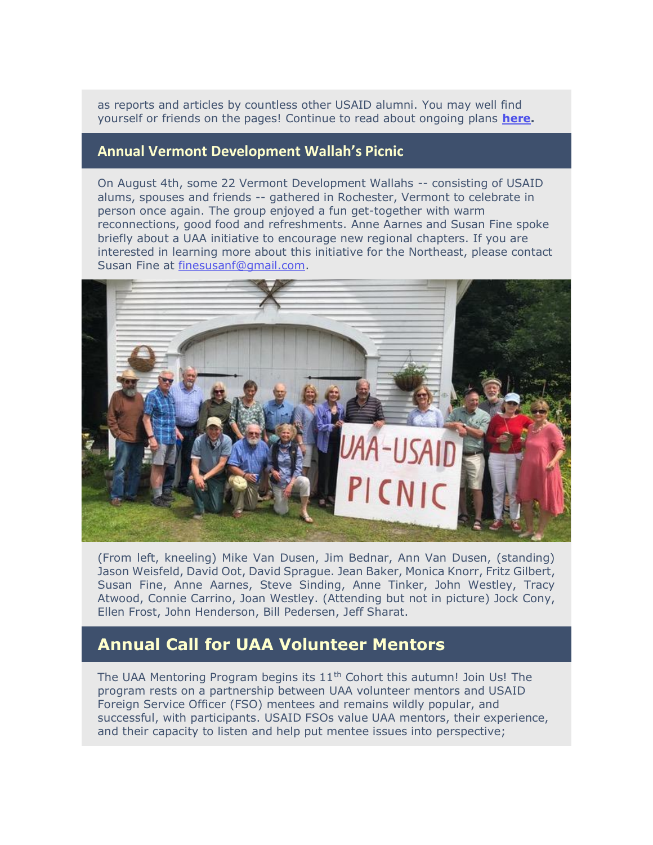as reports and articles by countless other USAID alumni. You may well find yourself or friends on the pages! Continue to read about ongoing plans **[here.](https://r20.rs6.net/tn.jsp?f=001TDgVOEhYzLn8E8IvBkagNZCyEqwORMKe1ymjvDLQ2iUyUXxBrK3d3I1iqrlFZYKof3CE-Q2qmmn5eFbD1i346atvdZ8fCXEkfAeiovSzin0mUjLoQEhT4F37ReQQDdwj0J_n_YvQxlqejp0LITrcv0yiDvprWBEPFo2vr8eh0hk=&c=FZhN5va37Ki3-pjlHBSeHyjmV2l-BsnqG30PuXVRXRjvt_0ZQSU1wA==&ch=MLF00JSY8alEJ9HAtLCAFoF6MgcA8BpU1a4d-DSbyyomVYgOPsCnEw==)**

#### **Annual Vermont Development Wallah's Picnic**

On August 4th, some 22 Vermont Development Wallahs -- consisting of USAID alums, spouses and friends -- gathered in Rochester, Vermont to celebrate in person once again. The group enjoyed a fun get-together with warm reconnections, good food and refreshments. Anne Aarnes and Susan Fine spoke briefly about a UAA initiative to encourage new regional chapters. If you are interested in learning more about this initiative for the Northeast, please contact Susan Fine at [finesusanf@gmail.com.](mailto:finesusanf@gmail.com)



(From left, kneeling) Mike Van Dusen, Jim Bednar, Ann Van Dusen, (standing) Jason Weisfeld, David Oot, David Sprague. Jean Baker, Monica Knorr, Fritz Gilbert, Susan Fine, Anne Aarnes, Steve Sinding, Anne Tinker, John Westley, Tracy Atwood, Connie Carrino, Joan Westley. (Attending but not in picture) Jock Cony, Ellen Frost, John Henderson, Bill Pedersen, Jeff Sharat.

#### **Annual Call for UAA Volunteer Mentors**

The UAA Mentoring Program begins its  $11<sup>th</sup>$  Cohort this autumn! Join Us! The program rests on a partnership between UAA volunteer mentors and USAID Foreign Service Officer (FSO) mentees and remains wildly popular, and successful, with participants. USAID FSOs value UAA mentors, their experience, and their capacity to listen and help put mentee issues into perspective;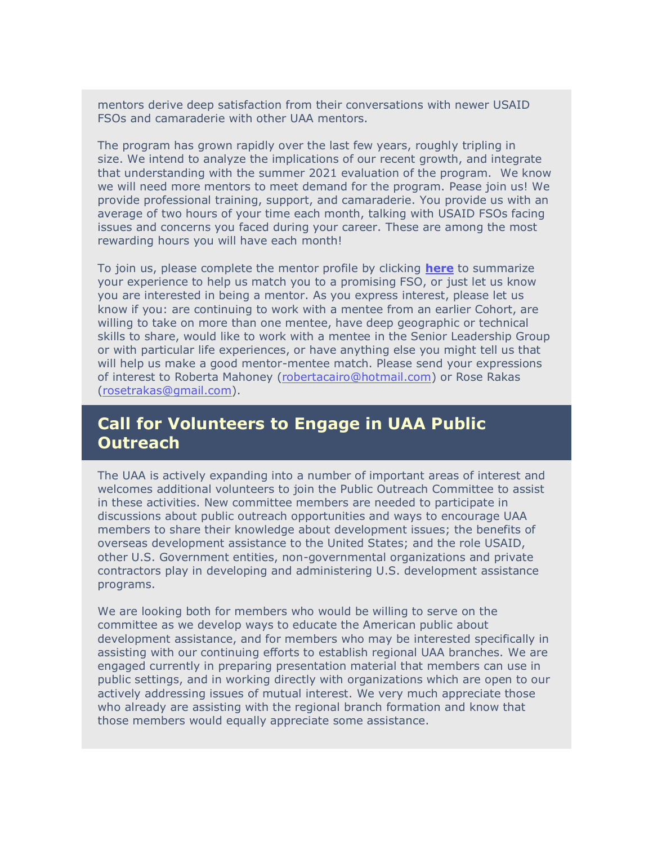mentors derive deep satisfaction from their conversations with newer USAID FSOs and camaraderie with other UAA mentors.

The program has grown rapidly over the last few years, roughly tripling in size. We intend to analyze the implications of our recent growth, and integrate that understanding with the summer 2021 evaluation of the program. We know we will need more mentors to meet demand for the program. Pease join us! We provide professional training, support, and camaraderie. You provide us with an average of two hours of your time each month, talking with USAID FSOs facing issues and concerns you faced during your career. These are among the most rewarding hours you will have each month!

To join us, please complete the mentor profile by clicking **[here](https://r20.rs6.net/tn.jsp?f=001TDgVOEhYzLn8E8IvBkagNZCyEqwORMKe1ymjvDLQ2iUyUXxBrK3d3I1iqrlFZYKo8Ewcu7illo4_aGHIR4mnZKUzv7YRcVtcfQPKxJEc8wTTxxqNOngJm0BOYBNp7fTcsDVUFbVFl5bN2xRolLdPmyQfnbugsqiCvGQ0yLGZyXdLCyaYtKjNxxNgzVdJQbb_EzZXYhUxhTdKN1Jq-CGbD7k39KsUZkw5pGOp8N3QHKAJnn_PXxVhzv-T1LlbyxxK0VHjiKVa__BBq2j2pZXWGysjlbx6bTIBhuQuMWsETWfnsOvYnjYomqioAFJZ1crj1uHUexIdZDT6-Ke6SY6hq-zqGsqKSnNlEkPOWNr-W90q6A6xnBIY2hrLSUhHwqfqsg3xXq8UpI3aUurjR3S3Mk2iV5DgUFOfmLo0EFXtIPcy5c_XPNpl16gR2ZnnuGxvtJN5e_ITf0A94l8U_MJcXtBscEEl_I5BB7BhrBofAxLfA2MlRLjfL3KNNdVb0Wjtasmnar4NwYB7_VqTfkgSngrCRE2Rb4rNvRWixj_YsteR2CPR17C_qSqLNIqOA0-bTX84_Z9OvHyH0zDs2-0FnBWt4VZ8Pvwmsf9pAyP5fZw7UIC00o54v0yIvFfEj5tViKbxr1MJLBERMkqv9NmByE-IzPRdMmNRbyktpqUhJbry7PUthX8jWdIA4A_N3-MHalwO4dPcZ3dX94wvxTO07VMB2lwvlC8So9Eat3cBtyO_DlLpcopu3alvNKe-WVeg4XilPjqW3-c3O-HT938wkqXIxaNh3yhYjxRX2BYlKgj8U2HUt7wKRdTdhjIwvWbMhA8eVw8t8-JFgSFqOLdi6jQiWMgFlJv55NJ2v_WYQIMDPs7jcoDHehY9zN0ROim4RkD4YRqD0ka45oguszddawjqz0Pve2dwZy9LwR8weia-eksOQmQe2A==&c=FZhN5va37Ki3-pjlHBSeHyjmV2l-BsnqG30PuXVRXRjvt_0ZQSU1wA==&ch=MLF00JSY8alEJ9HAtLCAFoF6MgcA8BpU1a4d-DSbyyomVYgOPsCnEw==)** to summarize your experience to help us match you to a promising FSO, or just let us know you are interested in being a mentor. As you express interest, please let us know if you: are continuing to work with a mentee from an earlier Cohort, are willing to take on more than one mentee, have deep geographic or technical skills to share, would like to work with a mentee in the Senior Leadership Group or with particular life experiences, or have anything else you might tell us that will help us make a good mentor-mentee match. Please send your expressions of interest to Roberta Mahoney [\(robertacairo@hotmail.com\)](mailto:robertacairo@hotmail.com) or Rose Rakas [\(rosetrakas@gmail.com\)](mailto:roosetrakas@gmail.com).

## **Call for Volunteers to Engage in UAA Public Outreach**

The UAA is actively expanding into a number of important areas of interest and welcomes additional volunteers to join the Public Outreach Committee to assist in these activities. New committee members are needed to participate in discussions about public outreach opportunities and ways to encourage UAA members to share their knowledge about development issues; the benefits of overseas development assistance to the United States; and the role USAID, other U.S. Government entities, non-governmental organizations and private contractors play in developing and administering U.S. development assistance programs.

We are looking both for members who would be willing to serve on the committee as we develop ways to educate the American public about development assistance, and for members who may be interested specifically in assisting with our continuing efforts to establish regional UAA branches. We are engaged currently in preparing presentation material that members can use in public settings, and in working directly with organizations which are open to our actively addressing issues of mutual interest. We very much appreciate those who already are assisting with the regional branch formation and know that those members would equally appreciate some assistance.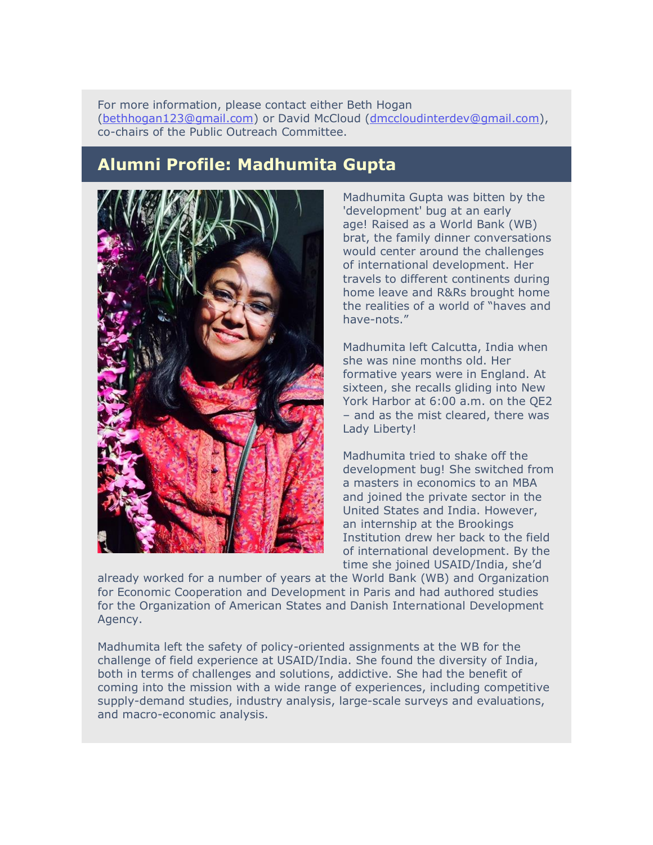For more information, please contact either Beth Hogan [\(bethhogan123@gmail.com\)](mailto:bethhogan123@gmail.com) or David McCloud [\(dmccloudinterdev@gmail.com\)](mailto:dmccloudinterdev@gmail.com), co-chairs of the Public Outreach Committee.

## **Alumni Profile: Madhumita Gupta**



Madhumita Gupta was bitten by the 'development' bug at an early age! Raised as a World Bank (WB) brat, the family dinner conversations would center around the challenges of international development. Her travels to different continents during home leave and R&Rs brought home the realities of a world of "haves and have-nots."

Madhumita left Calcutta, India when she was nine months old. Her formative years were in England. At sixteen, she recalls gliding into New York Harbor at 6:00 a.m. on the QE2 – and as the mist cleared, there was Lady Liberty!

Madhumita tried to shake off the development bug! She switched from a masters in economics to an MBA and joined the private sector in the United States and India. However, an internship at the Brookings Institution drew her back to the field of international development. By the time she joined USAID/India, she'd

already worked for a number of years at the World Bank (WB) and Organization for Economic Cooperation and Development in Paris and had authored studies for the Organization of American States and Danish International Development Agency.

Madhumita left the safety of policy-oriented assignments at the WB for the challenge of field experience at USAID/India. She found the diversity of India, both in terms of challenges and solutions, addictive. She had the benefit of coming into the mission with a wide range of experiences, including competitive supply-demand studies, industry analysis, large-scale surveys and evaluations, and macro-economic analysis.